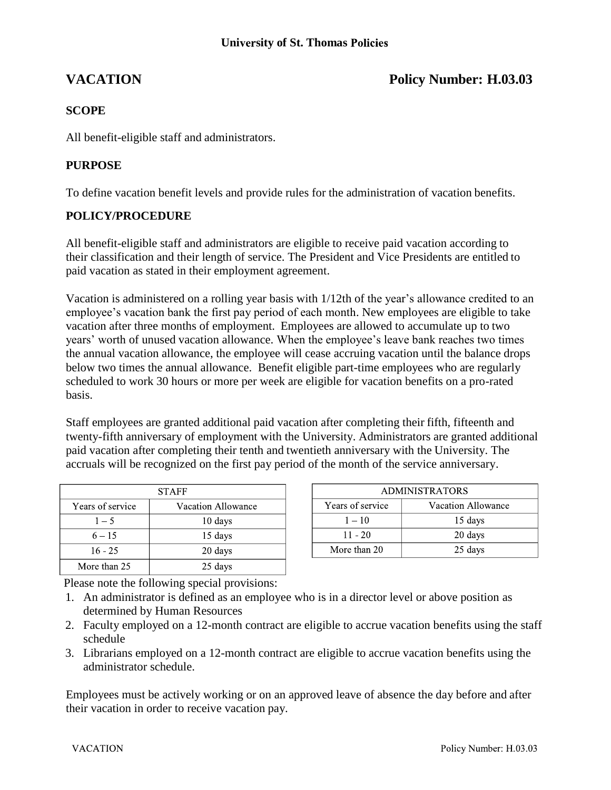# **VACATION Policy Number: H.03.03**

## **SCOPE**

All benefit-eligible staff and administrators.

### **PURPOSE**

To define vacation benefit levels and provide rules for the administration of vacation benefits.

#### **POLICY/PROCEDURE**

All benefit-eligible staff and administrators are eligible to receive paid vacation according to their classification and their length of service. The President and Vice Presidents are entitled to paid vacation as stated in their employment agreement.

Vacation is administered on a rolling year basis with 1/12th of the year's allowance credited to an employee's vacation bank the first pay period of each month. New employees are eligible to take vacation after three months of employment. Employees are allowed to accumulate up to two years' worth of unused vacation allowance. When the employee's leave bank reaches two times the annual vacation allowance, the employee will cease accruing vacation until the balance drops below two times the annual allowance. Benefit eligible part-time employees who are regularly scheduled to work 30 hours or more per week are eligible for vacation benefits on a pro-rated basis.

Staff employees are granted additional paid vacation after completing their fifth, fifteenth and twenty-fifth anniversary of employment with the University. Administrators are granted additional paid vacation after completing their tenth and twentieth anniversary with the University. The accruals will be recognized on the first pay period of the month of the service anniversary.

| <b>STAFF</b>     |                    |  |
|------------------|--------------------|--|
| Years of service | Vacation Allowance |  |
| $1 - 5$          | 10 days            |  |
| $6 - 15$         | 15 days            |  |
| $16 - 25$        | 20 days            |  |
| More than 25     | 25 days            |  |

| <b>ADMINISTRATORS</b> |                    |  |
|-----------------------|--------------------|--|
| Years of service      | Vacation Allowance |  |
| $1 - 10$              | 15 days            |  |
| $11 - 20$             | 20 days            |  |
| More than 20          | 25 days            |  |

Please note the following special provisions:

- 1. An administrator is defined as an employee who is in a director level or above position as determined by Human Resources
- 2. Faculty employed on a 12-month contract are eligible to accrue vacation benefits using the staff schedule
- 3. Librarians employed on a 12-month contract are eligible to accrue vacation benefits using the administrator schedule.

Employees must be actively working or on an approved leave of absence the day before and after their vacation in order to receive vacation pay.